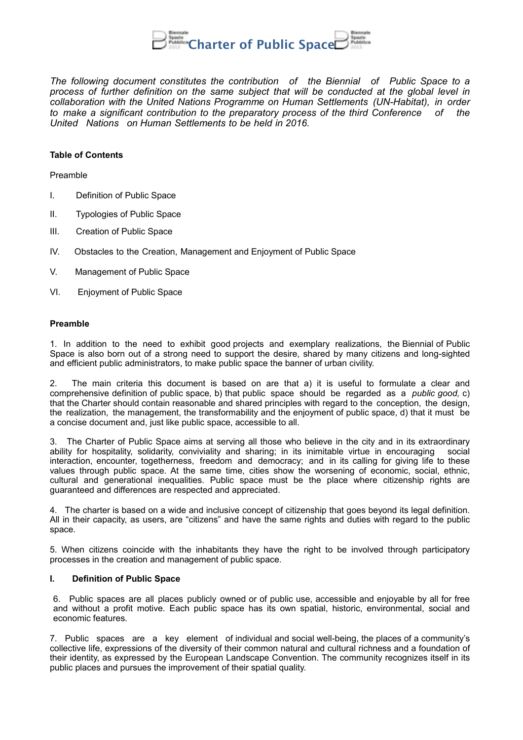

*The following document constitutes the contribution of the Biennial of Public Space to a process of further definition on the same subject that will be conducted at the global level in collaboration with the United Nations Programme on Human Settlements (UN-Habitat), in order to make a significant contribution to the preparatory process of the third Conference of the United Nations on Human Settlements to be held in 2016.*

#### **Table of Contents**

Preamble

- I. Definition of Public Space
- II. Typologies of Public Space
- III. Creation of Public Space
- IV. Obstacles to the Creation, Management and Enjoyment of Public Space
- V. Management of Public Space
- VI. Enjoyment of Public Space

#### **Preamble**

1. In addition to the need to exhibit good projects and exemplary realizations, the Biennial of Public Space is also born out of a strong need to support the desire, shared by many citizens and long-sighted and efficient public administrators, to make public space the banner of urban civility.

2. The main criteria this document is based on are that a) it is useful to formulate a clear and comprehensive definition of public space, b) that public space should be regarded as a *public good,* c) that the Charter should contain reasonable and shared principles with regard to the conception, the design, the realization, the management, the transformability and the enjoyment of public space, d) that it must be a concise document and, just like public space, accessible to all.

3. The Charter of Public Space aims at serving all those who believe in the city and in its extraordinary ability for hospitality, solidarity, conviviality and sharing; in its inimitable virtue in encouraging social interaction, encounter, togetherness, freedom and democracy; and in its calling for giving life to these values through public space. At the same time, cities show the worsening of economic, social, ethnic, cultural and generational inequalities. Public space must be the place where citizenship rights are guaranteed and differences are respected and appreciated.

4. The charter is based on a wide and inclusive concept of citizenship that goes beyond its legal definition. All in their capacity, as users, are "citizens" and have the same rights and duties with regard to the public space.

5. When citizens coincide with the inhabitants they have the right to be involved through participatory processes in the creation and management of public space.

# **I. Definition of Public Space**

6. Public spaces are all places publicly owned or of public use, accessible and enjoyable by all for free and without a profit motive. Each public space has its own spatial, historic, environmental, social and economic features.

7. Public spaces are a key element of individual and social well-being, the places of a community's collective life, expressions of the diversity of their common natural and cultural richness and a foundation of their identity, as expressed by the European Landscape Convention. The community recognizes itself in its public places and pursues the improvement of their spatial quality.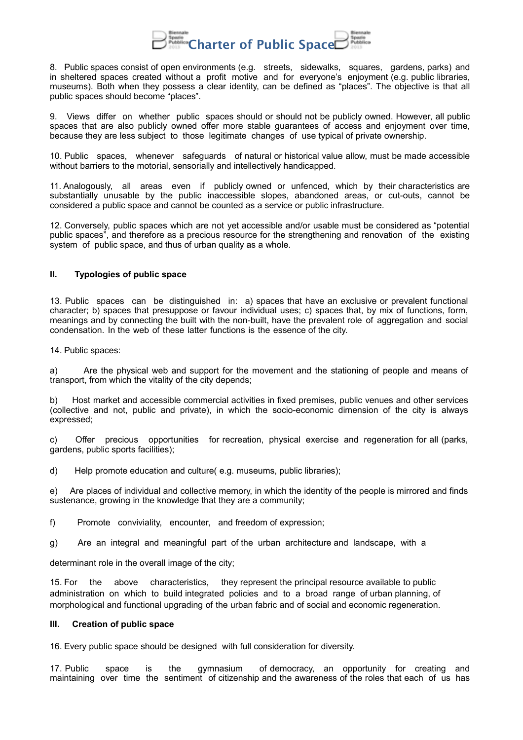

8. Public spaces consist of open environments (e.g. streets, sidewalks, squares, gardens, parks) and in sheltered spaces created without a profit motive and for everyone's enjoyment (e.g. public libraries, museums). Both when they possess a clear identity, can be defined as "places". The objective is that all public spaces should become "places".

9. Views differ on whether public spaces should or should not be publicly owned. However, all public spaces that are also publicly owned offer more stable guarantees of access and enjoyment over time, because they are less subject to those legitimate changes of use typical of private ownership.

10. Public spaces, whenever safeguards of natural or historical value allow, must be made accessible without barriers to the motorial, sensorially and intellectively handicapped.

11. Analogously, all areas even if publicly owned or unfenced, which by their characteristics are substantially unusable by the public inaccessible slopes, abandoned areas, or cut-outs, cannot be considered a public space and cannot be counted as a service or public infrastructure.

12. Conversely, public spaces which are not yet accessible and/or usable must be considered as "potential public spaces", and therefore as a precious resource for the strengthening and renovation of the existing system of public space, and thus of urban quality as a whole.

# **II. Typologies of public space**

13. Public spaces can be distinguished in: a) spaces that have an exclusive or prevalent functional character; b) spaces that presuppose or favour individual uses; c) spaces that, by mix of functions, form, meanings and by connecting the built with the non-built, have the prevalent role of aggregation and social condensation. In the web of these latter functions is the essence of the city.

14. Public spaces:

a) Are the physical web and support for the movement and the stationing of people and means of transport, from which the vitality of the city depends;

b) Host market and accessible commercial activities in fixed premises, public venues and other services (collective and not, public and private), in which the socio-economic dimension of the city is always expressed;

c) Offer precious opportunities for recreation, physical exercise and regeneration for all (parks, gardens, public sports facilities);

d) Help promote education and culture( e.g. museums, public libraries);

e) Are places of individual and collective memory, in which the identity of the people is mirrored and finds sustenance, growing in the knowledge that they are a community;

f) Promote conviviality, encounter, and freedom of expression;

g) Are an integral and meaningful part of the urban architecture and landscape, with a

determinant role in the overall image of the city;

15. For the above characteristics, they represent the principal resource available to public administration on which to build integrated policies and to a broad range of urban planning, of morphological and functional upgrading of the urban fabric and of social and economic regeneration.

# **III. Creation of public space**

16. Every public space should be designed with full consideration for diversity.

17. Public space is the gymnasium of democracy, an opportunity for creating and maintaining over time the sentiment of citizenship and the awareness of the roles that each of us has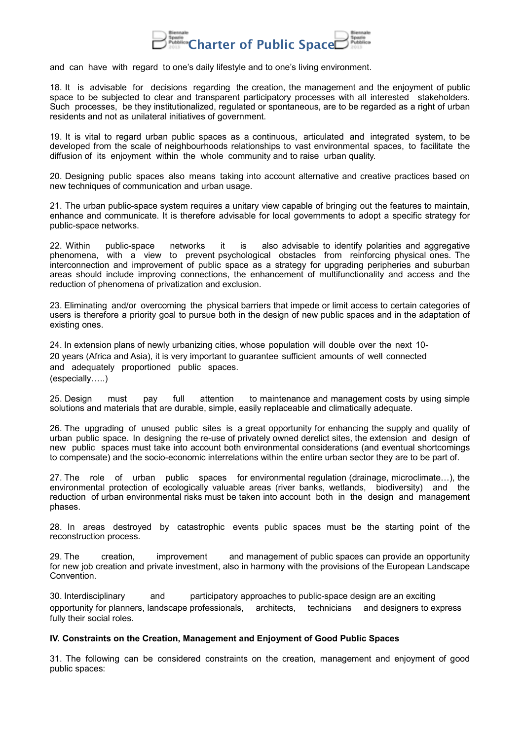

and can have with regard to one's daily lifestyle and to one's living environment.

18. It is advisable for decisions regarding the creation, the management and the enjoyment of public space to be subjected to clear and transparent participatory processes with all interested stakeholders. Such processes, be they institutionalized, regulated or spontaneous, are to be regarded as a right of urban residents and not as unilateral initiatives of government.

19. It is vital to regard urban public spaces as a continuous, articulated and integrated system, to be developed from the scale of neighbourhoods relationships to vast environmental spaces, to facilitate the diffusion of its enjoyment within the whole community and to raise urban quality.

20. Designing public spaces also means taking into account alternative and creative practices based on new techniques of communication and urban usage.

21. The urban public-space system requires a unitary view capable of bringing out the features to maintain, enhance and communicate. It is therefore advisable for local governments to adopt a specific strategy for public-space networks.

22. Within public-space networks it is also advisable to identify polarities and aggregative phenomena, with a view to prevent psychological obstacles from reinforcing physical ones. The interconnection and improvement of public space as a strategy for upgrading peripheries and suburban areas should include improving connections, the enhancement of multifunctionality and access and the reduction of phenomena of privatization and exclusion.

23. Eliminating and/or overcoming the physical barriers that impede or limit access to certain categories of users is therefore a priority goal to pursue both in the design of new public spaces and in the adaptation of existing ones.

24. In extension plans of newly urbanizing cities, whose population will double over the next 10- 20 years (Africa and Asia), it is very important to guarantee sufficient amounts of well connected and adequately proportioned public spaces. (especially…..)

25. Design must pay full attention to maintenance and management costs by using simple solutions and materials that are durable, simple, easily replaceable and climatically adequate.

26. The upgrading of unused public sites is a great opportunity for enhancing the supply and quality of urban public space. In designing the re-use of privately owned derelict sites, the extension and design of new public spaces must take into account both environmental considerations (and eventual shortcomings to compensate) and the socio-economic interrelations within the entire urban sector they are to be part of.

27. The role of urban public spaces for environmental regulation (drainage, microclimate…), the environmental protection of ecologically valuable areas (river banks, wetlands, biodiversity) and the reduction of urban environmental risks must be taken into account both in the design and management phases.

28. In areas destroyed by catastrophic events public spaces must be the starting point of the reconstruction process.

29. The creation, improvement and management of public spaces can provide an opportunity for new job creation and private investment, also in harmony with the provisions of the European Landscape Convention.

30. Interdisciplinary and participatory approaches to public-space design are an exciting opportunity for planners, landscape professionals, architects, technicians and designers to express fully their social roles.

#### **IV. Constraints on the Creation, Management and Enjoyment of Good Public Spaces**

31. The following can be considered constraints on the creation, management and enjoyment of good public spaces: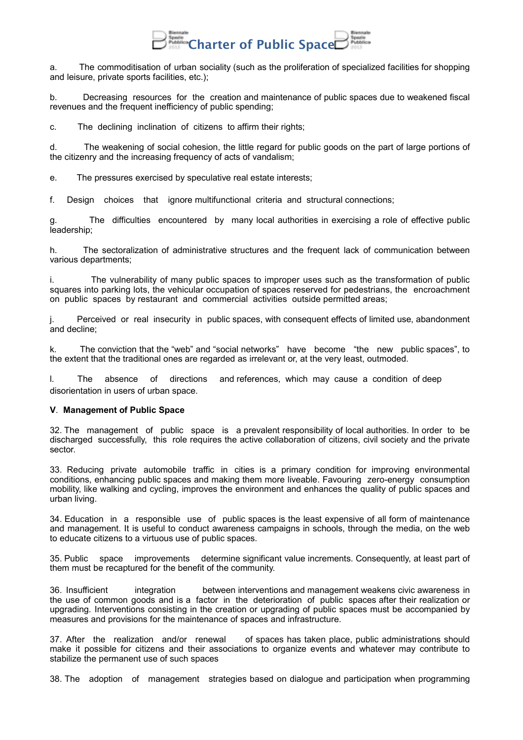

a. The commoditisation of urban sociality (such as the proliferation of specialized facilities for shopping and leisure, private sports facilities, etc.);

b. Decreasing resources for the creation and maintenance of public spaces due to weakened fiscal revenues and the frequent inefficiency of public spending;

c. The declining inclination of citizens to affirm their rights:

d. The weakening of social cohesion, the little regard for public goods on the part of large portions of the citizenry and the increasing frequency of acts of vandalism;

e. The pressures exercised by speculative real estate interests;

f. Design choices that ignore multifunctional criteria and structural connections;

The difficulties encountered by many local authorities in exercising a role of effective public leadership;

h. The sectoralization of administrative structures and the frequent lack of communication between various departments;

i. The vulnerability of many public spaces to improper uses such as the transformation of public squares into parking lots, the vehicular occupation of spaces reserved for pedestrians, the encroachment on public spaces by restaurant and commercial activities outside permitted areas;

j. Perceived or real insecurity in public spaces, with consequent effects of limited use, abandonment and decline;

k. The conviction that the "web" and "social networks" have become "the new public spaces", to the extent that the traditional ones are regarded as irrelevant or, at the very least, outmoded.

l. The absence of directions and references, which may cause a condition of deep disorientation in users of urban space.

# **V**. **Management of Public Space**

32. The management of public space is a prevalent responsibility of local authorities. In order to be discharged successfully, this role requires the active collaboration of citizens, civil society and the private sector.

33. Reducing private automobile traffic in cities is a primary condition for improving environmental conditions, enhancing public spaces and making them more liveable. Favouring zero-energy consumption mobility, like walking and cycling, improves the environment and enhances the quality of public spaces and urban living.

34. Education in a responsible use of public spaces is the least expensive of all form of maintenance and management. It is useful to conduct awareness campaigns in schools, through the media, on the web to educate citizens to a virtuous use of public spaces.

35. Public space improvements determine significant value increments. Consequently, at least part of them must be recaptured for the benefit of the community.

36. Insufficient integration between interventions and management weakens civic awareness in the use of common goods and is a factor in the deterioration of public spaces after their realization or upgrading. Interventions consisting in the creation or upgrading of public spaces must be accompanied by measures and provisions for the maintenance of spaces and infrastructure.

37. After the realization and/or renewal of spaces has taken place, public administrations should make it possible for citizens and their associations to organize events and whatever may contribute to stabilize the permanent use of such spaces

38. The adoption of management strategies based on dialogue and participation when programming